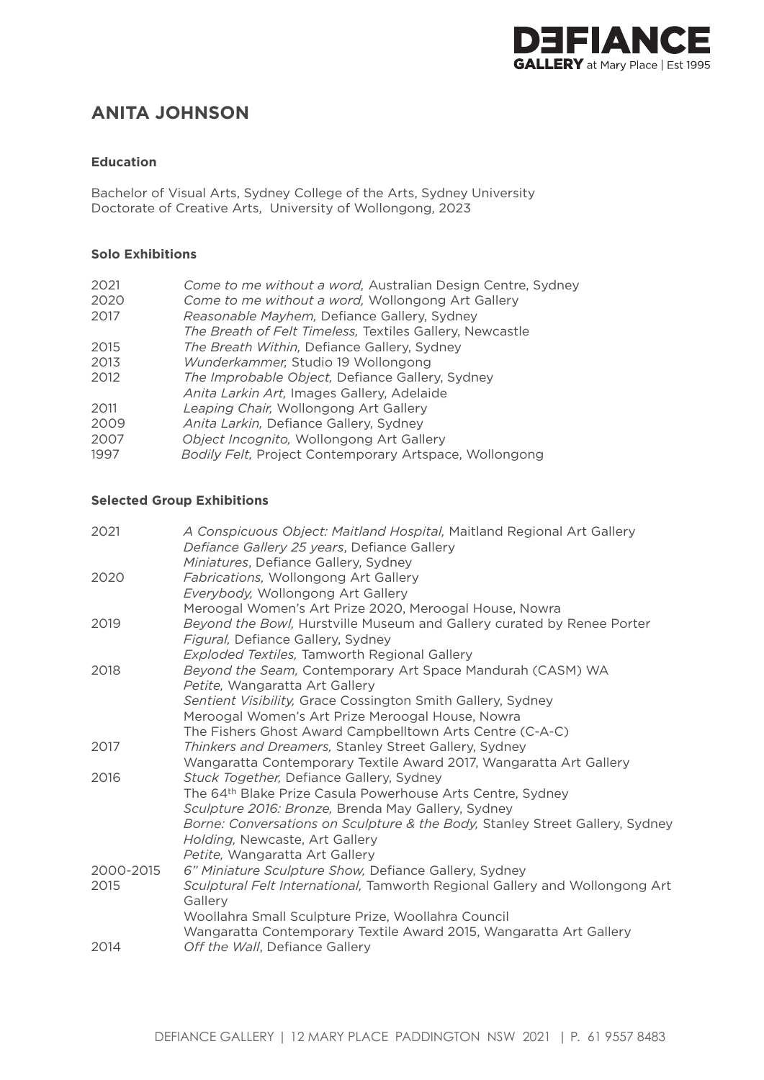

# **ANITA JOHNSON**

### **Education**

Bachelor of Visual Arts, Sydney College of the Arts, Sydney University Doctorate of Creative Arts, University of Wollongong, 2023

## **Solo Exhibitions**

| 2021 | Come to me without a word, Australian Design Centre, Sydney |
|------|-------------------------------------------------------------|
| 2020 | Come to me without a word, Wollongong Art Gallery           |
| 2017 | Reasonable Mayhem, Defiance Gallery, Sydney                 |
|      | The Breath of Felt Timeless, Textiles Gallery, Newcastle    |
| 2015 | The Breath Within, Defiance Gallery, Sydney                 |
| 2013 | Wunderkammer, Studio 19 Wollongong                          |
| 2012 | The Improbable Object, Defiance Gallery, Sydney             |
|      | Anita Larkin Art, Images Gallery, Adelaide                  |
| 2011 | Leaping Chair, Wollongong Art Gallery                       |
| 2009 | Anita Larkin, Defiance Gallery, Sydney                      |
| 2007 | Object Incognito, Wollongong Art Gallery                    |
| 1997 | Bodily Felt, Project Contemporary Artspace, Wollongong      |
|      |                                                             |

#### **Selected Group Exhibitions**

| A Conspicuous Object: Maitland Hospital, Maitland Regional Art Gallery<br>Defiance Gallery 25 years, Defiance Gallery |
|-----------------------------------------------------------------------------------------------------------------------|
| Miniatures, Defiance Gallery, Sydney                                                                                  |
| Fabrications, Wollongong Art Gallery                                                                                  |
| Everybody, Wollongong Art Gallery                                                                                     |
| Meroogal Women's Art Prize 2020, Meroogal House, Nowra                                                                |
| Beyond the Bowl, Hurstville Museum and Gallery curated by Renee Porter                                                |
| Figural, Defiance Gallery, Sydney                                                                                     |
| <b>Exploded Textiles, Tamworth Regional Gallery</b>                                                                   |
| Beyond the Seam, Contemporary Art Space Mandurah (CASM) WA                                                            |
| Petite, Wangaratta Art Gallery                                                                                        |
| Sentient Visibility, Grace Cossington Smith Gallery, Sydney                                                           |
| Meroogal Women's Art Prize Meroogal House, Nowra                                                                      |
| The Fishers Ghost Award Campbelltown Arts Centre (C-A-C)                                                              |
| Thinkers and Dreamers, Stanley Street Gallery, Sydney                                                                 |
| Wangaratta Contemporary Textile Award 2017, Wangaratta Art Gallery                                                    |
| Stuck Together, Defiance Gallery, Sydney                                                                              |
| The 64th Blake Prize Casula Powerhouse Arts Centre, Sydney                                                            |
| Sculpture 2016: Bronze, Brenda May Gallery, Sydney                                                                    |
| Borne: Conversations on Sculpture & the Body, Stanley Street Gallery, Sydney                                          |
| Holding, Newcaste, Art Gallery                                                                                        |
| Petite, Wangaratta Art Gallery                                                                                        |
| 6" Miniature Sculpture Show, Defiance Gallery, Sydney                                                                 |
| Sculptural Felt International, Tamworth Regional Gallery and Wollongong Art<br>Gallery                                |
| Woollahra Small Sculpture Prize, Woollahra Council                                                                    |
| Wangaratta Contemporary Textile Award 2015, Wangaratta Art Gallery                                                    |
| Off the Wall, Defiance Gallery                                                                                        |
|                                                                                                                       |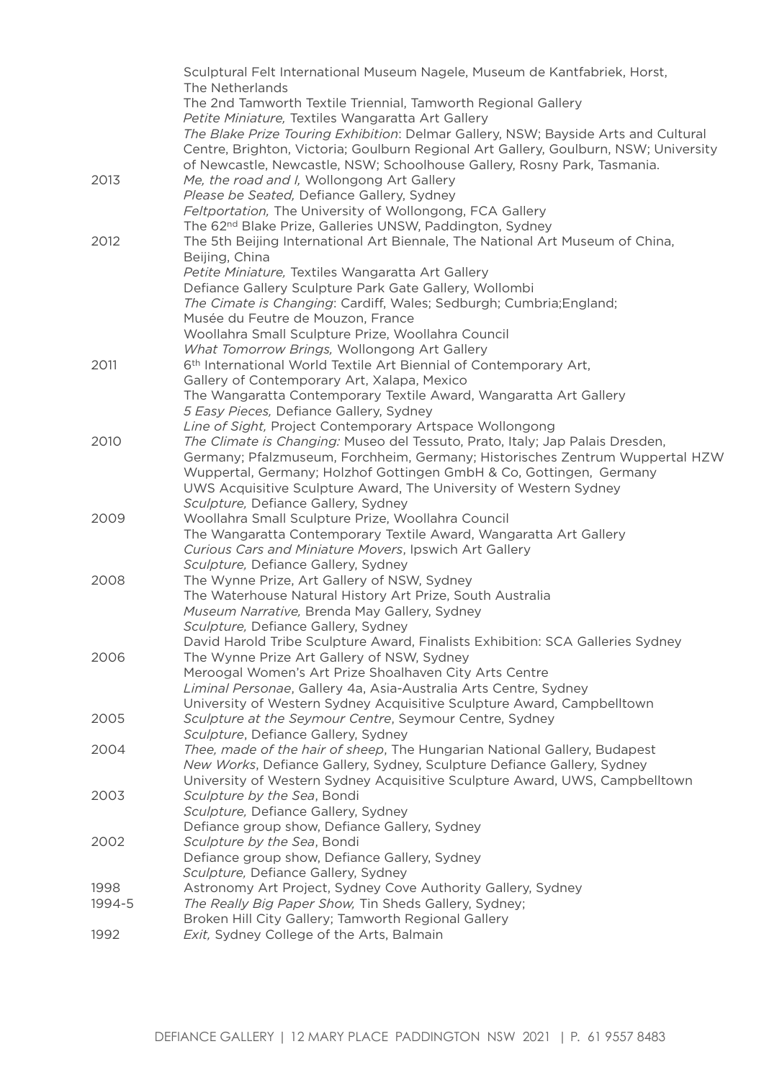|        | Sculptural Felt International Museum Nagele, Museum de Kantfabriek, Horst,<br>The Netherlands |
|--------|-----------------------------------------------------------------------------------------------|
|        | The 2nd Tamworth Textile Triennial, Tamworth Regional Gallery                                 |
|        | Petite Miniature, Textiles Wangaratta Art Gallery                                             |
|        | The Blake Prize Touring Exhibition: Delmar Gallery, NSW; Bayside Arts and Cultural            |
|        | Centre, Brighton, Victoria; Goulburn Regional Art Gallery, Goulburn, NSW; University          |
|        | of Newcastle, Newcastle, NSW; Schoolhouse Gallery, Rosny Park, Tasmania.                      |
| 2013   | Me, the road and I, Wollongong Art Gallery                                                    |
|        | Please be Seated, Defiance Gallery, Sydney                                                    |
|        | Feltportation, The University of Wollongong, FCA Gallery                                      |
|        | The 62 <sup>nd</sup> Blake Prize, Galleries UNSW, Paddington, Sydney                          |
| 2012   | The 5th Beijing International Art Biennale, The National Art Museum of China,                 |
|        | Beijing, China                                                                                |
|        | Petite Miniature, Textiles Wangaratta Art Gallery                                             |
|        | Defiance Gallery Sculpture Park Gate Gallery, Wollombi                                        |
|        | The Cimate is Changing: Cardiff, Wales; Sedburgh; Cumbria; England;                           |
|        | Musée du Feutre de Mouzon, France                                                             |
|        | Woollahra Small Sculpture Prize, Woollahra Council                                            |
|        | What Tomorrow Brings, Wollongong Art Gallery                                                  |
| 2011   | 6 <sup>th</sup> International World Textile Art Biennial of Contemporary Art,                 |
|        | Gallery of Contemporary Art, Xalapa, Mexico                                                   |
|        | The Wangaratta Contemporary Textile Award, Wangaratta Art Gallery                             |
|        | 5 Easy Pieces, Defiance Gallery, Sydney                                                       |
|        | Line of Sight, Project Contemporary Artspace Wollongong                                       |
| 2010   | The Climate is Changing: Museo del Tessuto, Prato, Italy; Jap Palais Dresden,                 |
|        | Germany; Pfalzmuseum, Forchheim, Germany; Historisches Zentrum Wuppertal HZW                  |
|        | Wuppertal, Germany; Holzhof Gottingen GmbH & Co, Gottingen, Germany                           |
|        | UWS Acquisitive Sculpture Award, The University of Western Sydney                             |
|        | Sculpture, Defiance Gallery, Sydney                                                           |
| 2009   | Woollahra Small Sculpture Prize, Woollahra Council                                            |
|        | The Wangaratta Contemporary Textile Award, Wangaratta Art Gallery                             |
|        | Curious Cars and Miniature Movers, Ipswich Art Gallery                                        |
|        | Sculpture, Defiance Gallery, Sydney                                                           |
| 2008   | The Wynne Prize, Art Gallery of NSW, Sydney                                                   |
|        | The Waterhouse Natural History Art Prize, South Australia                                     |
|        | Museum Narrative, Brenda May Gallery, Sydney<br>Sculpture, Defiance Gallery, Sydney           |
|        | David Harold Tribe Sculpture Award, Finalists Exhibition: SCA Galleries Sydney                |
| 2006   | The Wynne Prize Art Gallery of NSW, Sydney                                                    |
|        | Meroogal Women's Art Prize Shoalhaven City Arts Centre                                        |
|        | Liminal Personae, Gallery 4a, Asia-Australia Arts Centre, Sydney                              |
|        | University of Western Sydney Acquisitive Sculpture Award, Campbelltown                        |
| 2005   | Sculpture at the Seymour Centre, Seymour Centre, Sydney                                       |
|        | Sculpture, Defiance Gallery, Sydney                                                           |
| 2004   | Thee, made of the hair of sheep, The Hungarian National Gallery, Budapest                     |
|        | New Works, Defiance Gallery, Sydney, Sculpture Defiance Gallery, Sydney                       |
|        | University of Western Sydney Acquisitive Sculpture Award, UWS, Campbelltown                   |
| 2003   | Sculpture by the Sea, Bondi                                                                   |
|        | Sculpture, Defiance Gallery, Sydney                                                           |
|        | Defiance group show, Defiance Gallery, Sydney                                                 |
| 2002   | Sculpture by the Sea, Bondi                                                                   |
|        | Defiance group show, Defiance Gallery, Sydney                                                 |
|        | Sculpture, Defiance Gallery, Sydney                                                           |
| 1998   | Astronomy Art Project, Sydney Cove Authority Gallery, Sydney                                  |
| 1994-5 | The Really Big Paper Show, Tin Sheds Gallery, Sydney;                                         |
|        | Broken Hill City Gallery; Tamworth Regional Gallery                                           |
| 1992   | Exit, Sydney College of the Arts, Balmain                                                     |